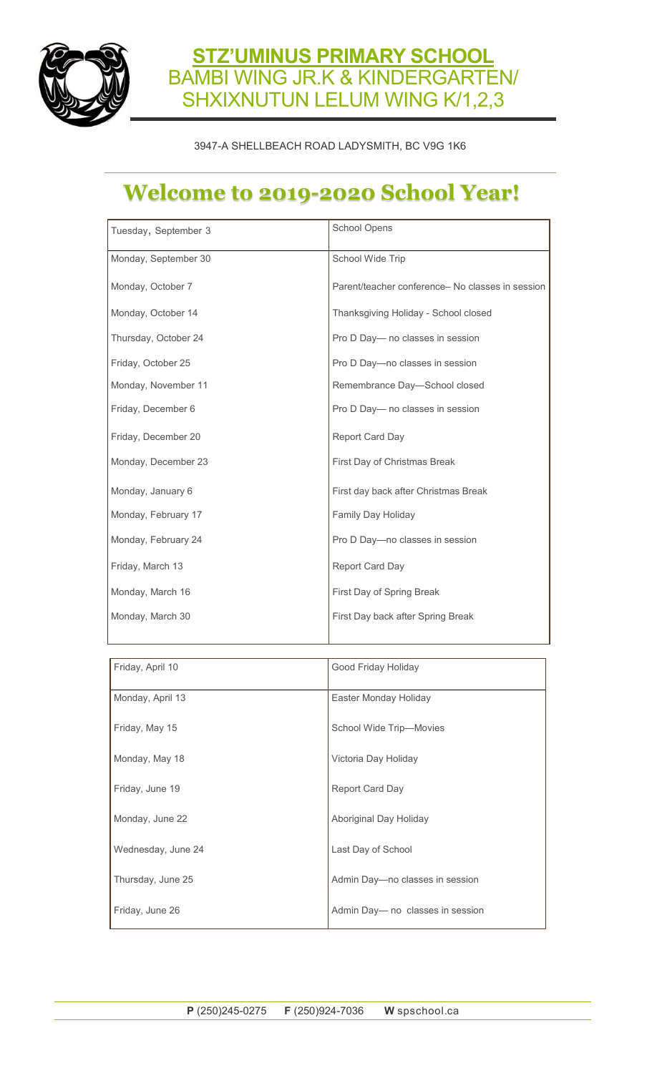

#### **STZ'UMINUS PRIMARY SCHOOL**  BAMBI WING JR.K & KINDERGARTEN/ SHXIXNUTUN LELUM WING K/1,2,3

#### 3947-A SHELLBEACH ROAD LADYSMITH, BC V9G 1K6

### **Welcome to 2019-2020 School Year!**

| Tuesday, September 3 | School Opens                                     |  |
|----------------------|--------------------------------------------------|--|
| Monday, September 30 | School Wide Trip                                 |  |
| Monday, October 7    | Parent/teacher conference- No classes in session |  |
| Monday, October 14   | Thanksgiving Holiday - School closed             |  |
| Thursday, October 24 | Pro D Day- no classes in session                 |  |
| Friday, October 25   | Pro D Day-no classes in session                  |  |
| Monday, November 11  | Remembrance Day-School closed                    |  |
| Friday, December 6   | Pro D Day- no classes in session                 |  |
| Friday, December 20  | <b>Report Card Day</b>                           |  |
| Monday, December 23  | First Day of Christmas Break                     |  |
| Monday, January 6    | First day back after Christmas Break             |  |
| Monday, February 17  | Family Day Holiday                               |  |
| Monday, February 24  | Pro D Day-no classes in session                  |  |
| Friday, March 13     | Report Card Day                                  |  |
| Monday, March 16     | First Day of Spring Break                        |  |
| Monday, March 30     | First Day back after Spring Break                |  |

| Friday, April 10   | Good Friday Holiday              |
|--------------------|----------------------------------|
| Monday, April 13   | Easter Monday Holiday            |
| Friday, May 15     | School Wide Trip-Movies          |
| Monday, May 18     | Victoria Day Holiday             |
| Friday, June 19    | Report Card Day                  |
| Monday, June 22    | Aboriginal Day Holiday           |
| Wednesday, June 24 | Last Day of School               |
| Thursday, June 25  | Admin Day-no classes in session  |
| Friday, June 26    | Admin Day— no classes in session |

┚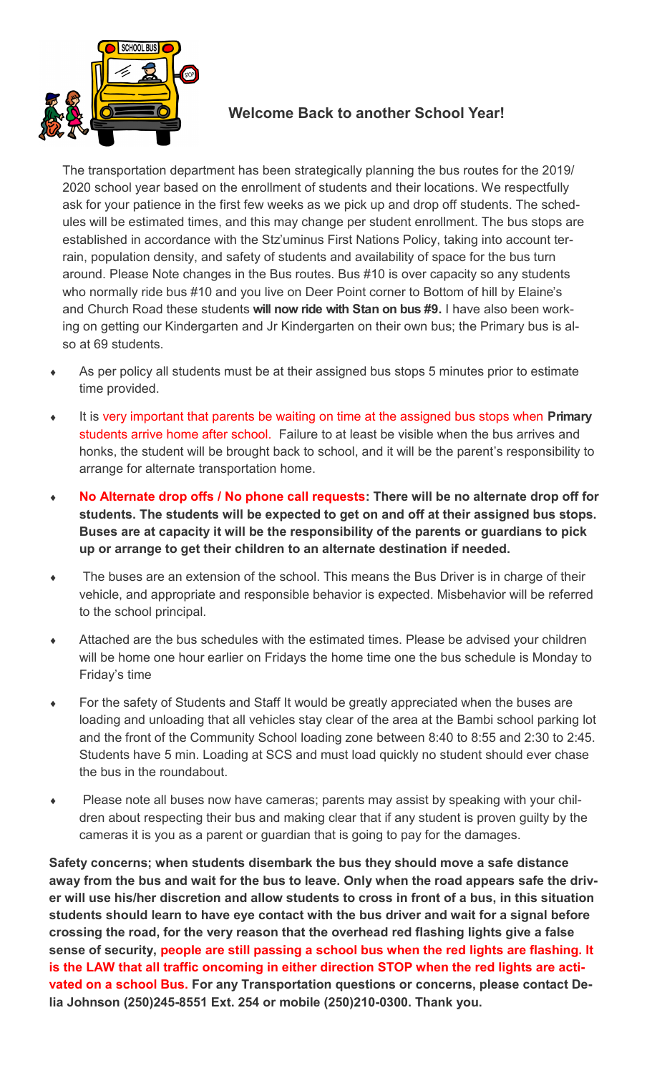

#### **Welcome Back to another School Year!**

The transportation department has been strategically planning the bus routes for the 2019/ 2020 school year based on the enrollment of students and their locations. We respectfully ask for your patience in the first few weeks as we pick up and drop off students. The schedules will be estimated times, and this may change per student enrollment. The bus stops are established in accordance with the Stz'uminus First Nations Policy, taking into account terrain, population density, and safety of students and availability of space for the bus turn around. Please Note changes in the Bus routes. Bus #10 is over capacity so any students who normally ride bus #10 and you live on Deer Point corner to Bottom of hill by Elaine's and Church Road these students **will now ride with Stan on bus #9.** I have also been working on getting our Kindergarten and Jr Kindergarten on their own bus; the Primary bus is also at 69 students.

- As per policy all students must be at their assigned bus stops 5 minutes prior to estimate time provided.
- It is very important that parents be waiting on time at the assigned bus stops when **Primary** students arrive home after school. Failure to at least be visible when the bus arrives and honks, the student will be brought back to school, and it will be the parent's responsibility to arrange for alternate transportation home.
- **No Alternate drop offs / No phone call requests: There will be no alternate drop off for students. The students will be expected to get on and off at their assigned bus stops. Buses are at capacity it will be the responsibility of the parents or guardians to pick up or arrange to get their children to an alternate destination if needed.**
- The buses are an extension of the school. This means the Bus Driver is in charge of their vehicle, and appropriate and responsible behavior is expected. Misbehavior will be referred to the school principal.
- Attached are the bus schedules with the estimated times. Please be advised your children will be home one hour earlier on Fridays the home time one the bus schedule is Monday to Friday's time
- For the safety of Students and Staff It would be greatly appreciated when the buses are loading and unloading that all vehicles stay clear of the area at the Bambi school parking lot and the front of the Community School loading zone between 8:40 to 8:55 and 2:30 to 2:45. Students have 5 min. Loading at SCS and must load quickly no student should ever chase the bus in the roundabout.
- Please note all buses now have cameras; parents may assist by speaking with your children about respecting their bus and making clear that if any student is proven guilty by the cameras it is you as a parent or guardian that is going to pay for the damages.

**Safety concerns; when students disembark the bus they should move a safe distance away from the bus and wait for the bus to leave. Only when the road appears safe the driver will use his/her discretion and allow students to cross in front of a bus, in this situation students should learn to have eye contact with the bus driver and wait for a signal before crossing the road, for the very reason that the overhead red flashing lights give a false sense of security, people are still passing a school bus when the red lights are flashing. It is the LAW that all traffic oncoming in either direction STOP when the red lights are activated on a school Bus. For any Transportation questions or concerns, please contact Delia Johnson (250)245-8551 Ext. 254 or mobile (250)210-0300. Thank you.**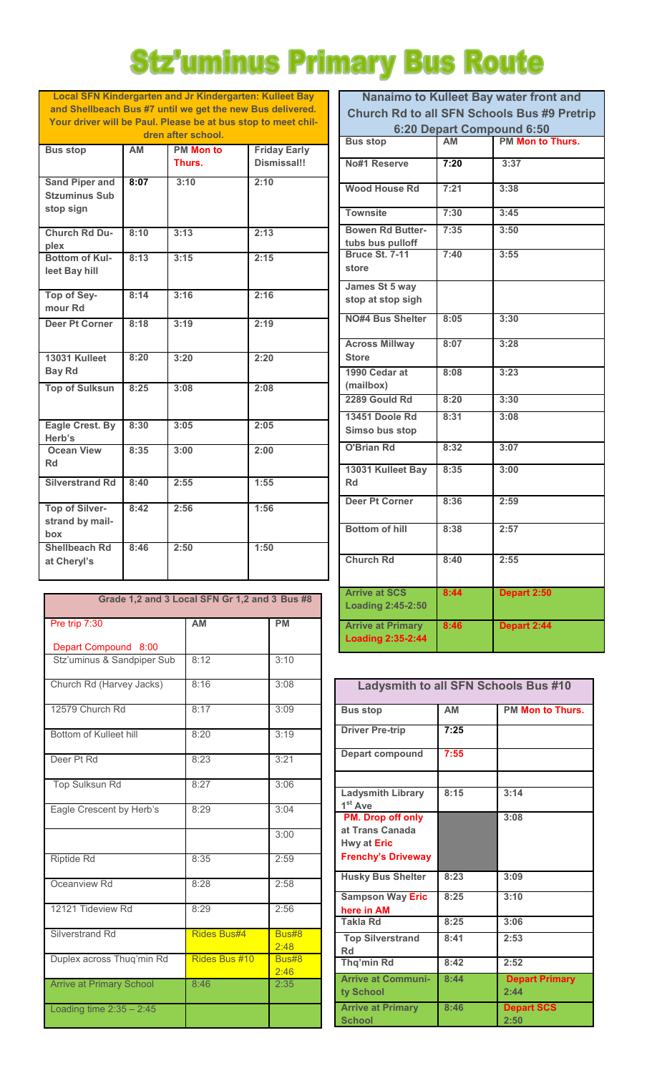# **Stz'uminus Primary Bus Route**

**Local SFN Kindergarten and Jr Kindergarten: Kulleet Bay and Shellbeach Bus #7 until we get the new Bus delivered. Your driver will be Paul. Please be at bus stop to meet children after school.**

| <b>Bus stop</b>        | <b>AM</b> | <b>PM Mon to</b> | <b>Friday Early</b> |  |  |  |
|------------------------|-----------|------------------|---------------------|--|--|--|
|                        |           | Thurs.           | <b>Dismissal!!</b>  |  |  |  |
|                        |           |                  |                     |  |  |  |
| <b>Sand Piper and</b>  | 8:07      | 3:10             | 2:10                |  |  |  |
| <b>Stzuminus Sub</b>   |           |                  |                     |  |  |  |
| stop sign              |           |                  |                     |  |  |  |
|                        |           |                  |                     |  |  |  |
|                        |           |                  |                     |  |  |  |
| <b>Church Rd Du-</b>   | 8:10      | 3:13             | 2:13                |  |  |  |
| plex                   |           |                  |                     |  |  |  |
| <b>Bottom of Kul-</b>  | 8:13      | 3:15             | 2:15                |  |  |  |
| leet Bay hill          |           |                  |                     |  |  |  |
|                        |           |                  |                     |  |  |  |
| Top of Sey-            | 8:14      | 3:16             | 2:16                |  |  |  |
| mour Rd                |           |                  |                     |  |  |  |
|                        |           |                  |                     |  |  |  |
| <b>Deer Pt Corner</b>  | 8:18      | 3:19             | 2:19                |  |  |  |
|                        |           |                  |                     |  |  |  |
|                        |           |                  |                     |  |  |  |
| 13031 Kulleet          | 8:20      | 3:20             | 2:20                |  |  |  |
| <b>Bay Rd</b>          |           |                  |                     |  |  |  |
|                        |           |                  |                     |  |  |  |
| <b>Top of Sulksun</b>  | 8:25      | 3:08             | 2:08                |  |  |  |
|                        |           |                  |                     |  |  |  |
|                        |           |                  |                     |  |  |  |
| Eagle Crest. By        | 8:30      | 3:05             | 2:05                |  |  |  |
| Herb's                 |           |                  |                     |  |  |  |
| <b>Ocean View</b>      | 8:35      | 3:00             | 2:00                |  |  |  |
| Rd                     |           |                  |                     |  |  |  |
|                        |           |                  |                     |  |  |  |
| <b>Silverstrand Rd</b> | 8:40      | 2:55             | 1:55                |  |  |  |
|                        |           |                  |                     |  |  |  |
| <b>Top of Silver-</b>  | 8:42      | 2:56             | 1:56                |  |  |  |
|                        |           |                  |                     |  |  |  |
| strand by mail-        |           |                  |                     |  |  |  |
| box                    |           |                  |                     |  |  |  |
| <b>Shellbeach Rd</b>   | 8:46      | 2:50             | 1:50                |  |  |  |
| at Cheryl's            |           |                  |                     |  |  |  |
|                        |           |                  |                     |  |  |  |

| Grade 1,2 and 3 Local SFN Gr 1,2 and 3 Bus #8 |                    |               |  |
|-----------------------------------------------|--------------------|---------------|--|
| Pre trip 7:30                                 | <b>AM</b>          | <b>PM</b>     |  |
| Depart Compound 8:00                          |                    |               |  |
| Stz'uminus & Sandpiper Sub                    | 8:12               | 3:10          |  |
| Church Rd (Harvey Jacks)                      | 8:16               | 3:08          |  |
| 12579 Church Rd                               | 8:17               | 3:09          |  |
| Bottom of Kulleet hill                        | 8:20               | 3:19          |  |
| Deer Pt Rd                                    | 8:23               | 3:21          |  |
| Top Sulksun Rd                                | 8:27               | 3:06          |  |
| Eagle Crescent by Herb's                      | 8:29               | 3:04          |  |
|                                               |                    | 3:00          |  |
| <b>Riptide Rd</b>                             | 8:35               | 2:59          |  |
| Oceanview Rd                                  | 8:28               | 2:58          |  |
| 12121 Tideview Rd                             | 8:29               | 2:56          |  |
| <b>Silverstrand Rd</b>                        | <b>Rides Bus#4</b> | Bus#8<br>2:48 |  |
| Duplex across Thuq'min Rd                     | Rides Bus #10      | Bus#8<br>2:46 |  |
| <b>Arrive at Primary School</b>               | 8:46               | 2:35          |  |
| Loading time $2:35 - 2:45$                    |                    |               |  |

| Nanaimo to Kulleet Bay water front and             |           |                         |  |
|----------------------------------------------------|-----------|-------------------------|--|
| <b>Church Rd to all SFN Schools Bus #9 Pretrip</b> |           |                         |  |
| 6:20 Depart Compound 6:50                          |           |                         |  |
| <b>Bus stop</b>                                    | <b>AM</b> | <b>PM Mon to Thurs.</b> |  |
| No#1 Reserve                                       | 7:20      | 3:37                    |  |
| <b>Wood House Rd</b>                               | 7:21      | 3:38                    |  |
| <b>Townsite</b>                                    | 7:30      | 3:45                    |  |
| <b>Bowen Rd Butter-</b><br>tubs bus pulloff        | 7:35      | 3:50                    |  |
| <b>Bruce St. 7-11</b><br>store                     | 7:40      | 3:55                    |  |
| James St 5 way<br>stop at stop sigh                |           |                         |  |
| <b>NO#4 Bus Shelter</b>                            | 8:05      | 3:30                    |  |
| <b>Across Millway</b><br><b>Store</b>              | 8:07      | 3:28                    |  |
| 1990 Cedar at<br>(mailbox)                         | 8:08      | 3:23                    |  |
| 2289 Gould Rd                                      | 8:20      | 3:30                    |  |
| 13451 Doole Rd<br>Simso bus stop                   | 8:31      | 3:08                    |  |
| <b>O'Brian Rd</b>                                  | 8:32      | 3:07                    |  |
| 13031 Kulleet Bay<br>Rd                            | 8:35      | 3:00                    |  |
| <b>Deer Pt Corner</b>                              | 8:36      | 2:59                    |  |
| <b>Bottom of hill</b>                              | 8:38      | 2:57                    |  |
| <b>Church Rd</b>                                   | 8:40      | 2:55                    |  |
| <b>Arrive at SCS</b><br><b>Loading 2:45-2:50</b>   | 8:44      | Depart 2:50             |  |
| <b>Arrive at Primary</b><br>Loading 2:35-2:44      | 8:46      | Depart 2:44             |  |

| <b>Ladysmith to all SFN Schools Bus #10</b>                                             |      |                               |  |
|-----------------------------------------------------------------------------------------|------|-------------------------------|--|
| <b>Bus stop</b>                                                                         | AM   | <b>PM Mon to Thurs.</b>       |  |
| <b>Driver Pre-trip</b>                                                                  | 7:25 |                               |  |
| <b>Depart compound</b>                                                                  | 7:55 |                               |  |
|                                                                                         |      |                               |  |
| <b>Ladysmith Library</b><br>1 <sup>st</sup> Ave                                         | 8:15 | 3:14                          |  |
| <b>PM.</b> Drop off only<br>at Trans Canada<br>Hwy at Eric<br><b>Frenchy's Driveway</b> |      | 3:08                          |  |
| <b>Husky Bus Shelter</b>                                                                | 8:23 | 3:09                          |  |
| <b>Sampson Way Eric</b><br>here in AM                                                   | 8:25 | 3:10                          |  |
| <b>Takla Rd</b>                                                                         | 8:25 | 3:06                          |  |
| <b>Top Silverstrand</b><br>Rd                                                           | 8:41 | 2:53                          |  |
| Thq'min Rd                                                                              | 8:42 | 2:52                          |  |
| <b>Arrive at Communi-</b><br>ty School                                                  | 8:44 | <b>Depart Primary</b><br>2:44 |  |
| <b>Arrive at Primary</b><br><b>School</b>                                               | 8:46 | <b>Depart SCS</b><br>2:50     |  |